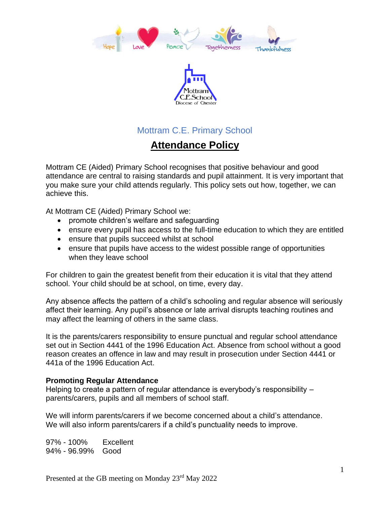



## Mottram C.E. Primary School

# **Attendance Policy**

Mottram CE (Aided) Primary School recognises that positive behaviour and good attendance are central to raising standards and pupil attainment. It is very important that you make sure your child attends regularly. This policy sets out how, together, we can achieve this.

At Mottram CE (Aided) Primary School we:

- promote children's welfare and safeguarding
- ensure every pupil has access to the full-time education to which they are entitled
- ensure that pupils succeed whilst at school
- ensure that pupils have access to the widest possible range of opportunities when they leave school

For children to gain the greatest benefit from their education it is vital that they attend school. Your child should be at school, on time, every day.

Any absence affects the pattern of a child's schooling and regular absence will seriously affect their learning. Any pupil's absence or late arrival disrupts teaching routines and may affect the learning of others in the same class.

It is the parents/carers responsibility to ensure punctual and regular school attendance set out in Section 4441 of the 1996 Education Act. Absence from school without a good reason creates an offence in law and may result in prosecution under Section 4441 or 441a of the 1996 Education Act.

#### **Promoting Regular Attendance**

Helping to create a pattern of regular attendance is everybody's responsibility – parents/carers, pupils and all members of school staff.

We will inform parents/carers if we become concerned about a child's attendance. We will also inform parents/carers if a child's punctuality needs to improve.

97% - 100% Excellent 94% - 96.99% Good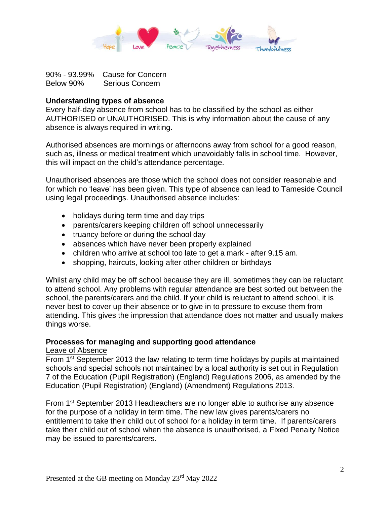

90% - 93.99% Cause for Concern Below 90% Serious Concern

#### **Understanding types of absence**

Every half-day absence from school has to be classified by the school as either AUTHORISED or UNAUTHORISED. This is why information about the cause of any absence is always required in writing.

Authorised absences are mornings or afternoons away from school for a good reason, such as, illness or medical treatment which unavoidably falls in school time. However, this will impact on the child's attendance percentage.

Unauthorised absences are those which the school does not consider reasonable and for which no 'leave' has been given. This type of absence can lead to Tameside Council using legal proceedings. Unauthorised absence includes:

- holidays during term time and day trips
- parents/carers keeping children off school unnecessarily
- truancy before or during the school day
- absences which have never been properly explained
- children who arrive at school too late to get a mark after 9.15 am.
- shopping, haircuts, looking after other children or birthdays

Whilst any child may be off school because they are ill, sometimes they can be reluctant to attend school. Any problems with regular attendance are best sorted out between the school, the parents/carers and the child. If your child is reluctant to attend school, it is never best to cover up their absence or to give in to pressure to excuse them from attending. This gives the impression that attendance does not matter and usually makes things worse.

### **Processes for managing and supporting good attendance**

#### Leave of Absence

From 1<sup>st</sup> September 2013 the law relating to term time holidays by pupils at maintained schools and special schools not maintained by a local authority is set out in Regulation 7 of the Education (Pupil Registration) (England) Regulations 2006, as amended by the Education (Pupil Registration) (England) (Amendment) Regulations 2013.

From 1st September 2013 Headteachers are no longer able to authorise any absence for the purpose of a holiday in term time. The new law gives parents/carers no entitlement to take their child out of school for a holiday in term time. If parents/carers take their child out of school when the absence is unauthorised, a Fixed Penalty Notice may be issued to parents/carers.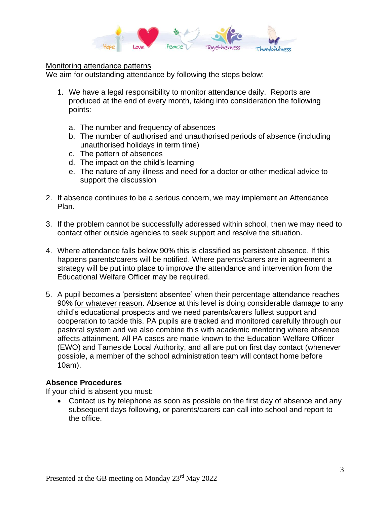

#### Monitoring attendance patterns

We aim for outstanding attendance by following the steps below:

- 1. We have a legal responsibility to monitor attendance daily. Reports are produced at the end of every month, taking into consideration the following points:
	- a. The number and frequency of absences
	- b. The number of authorised and unauthorised periods of absence (including unauthorised holidays in term time)
	- c. The pattern of absences
	- d. The impact on the child's learning
	- e. The nature of any illness and need for a doctor or other medical advice to support the discussion
- 2. If absence continues to be a serious concern, we may implement an Attendance Plan.
- 3. If the problem cannot be successfully addressed within school, then we may need to contact other outside agencies to seek support and resolve the situation.
- 4. Where attendance falls below 90% this is classified as persistent absence. If this happens parents/carers will be notified. Where parents/carers are in agreement a strategy will be put into place to improve the attendance and intervention from the Educational Welfare Officer may be required.
- 5. A pupil becomes a 'persistent absentee' when their percentage attendance reaches 90% for whatever reason. Absence at this level is doing considerable damage to any child's educational prospects and we need parents/carers fullest support and cooperation to tackle this. PA pupils are tracked and monitored carefully through our pastoral system and we also combine this with academic mentoring where absence affects attainment. All PA cases are made known to the Education Welfare Officer (EWO) and Tameside Local Authority, and all are put on first day contact (whenever possible, a member of the school administration team will contact home before 10am).

#### **Absence Procedures**

If your child is absent you must:

• Contact us by telephone as soon as possible on the first day of absence and any subsequent days following, or parents/carers can call into school and report to the office.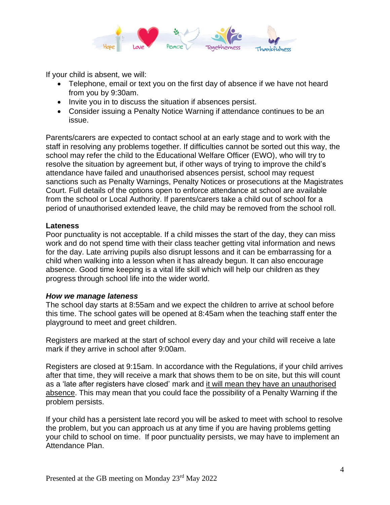

If your child is absent, we will:

- Telephone, email or text you on the first day of absence if we have not heard from you by 9:30am.
- Invite you in to discuss the situation if absences persist.
- Consider issuing a Penalty Notice Warning if attendance continues to be an issue.

Parents/carers are expected to contact school at an early stage and to work with the staff in resolving any problems together. If difficulties cannot be sorted out this way, the school may refer the child to the Educational Welfare Officer (EWO), who will try to resolve the situation by agreement but, if other ways of trying to improve the child's attendance have failed and unauthorised absences persist, school may request sanctions such as Penalty Warnings, Penalty Notices or prosecutions at the Magistrates Court. Full details of the options open to enforce attendance at school are available from the school or Local Authority. If parents/carers take a child out of school for a period of unauthorised extended leave, the child may be removed from the school roll.

#### **Lateness**

Poor punctuality is not acceptable. If a child misses the start of the day, they can miss work and do not spend time with their class teacher getting vital information and news for the day. Late arriving pupils also disrupt lessons and it can be embarrassing for a child when walking into a lesson when it has already begun. It can also encourage absence. Good time keeping is a vital life skill which will help our children as they progress through school life into the wider world.

#### *How we manage lateness*

The school day starts at 8:55am and we expect the children to arrive at school before this time. The school gates will be opened at 8:45am when the teaching staff enter the playground to meet and greet children.

Registers are marked at the start of school every day and your child will receive a late mark if they arrive in school after 9:00am.

Registers are closed at 9:15am. In accordance with the Regulations, if your child arrives after that time, they will receive a mark that shows them to be on site, but this will count as a 'late after registers have closed' mark and it will mean they have an unauthorised absence. This may mean that you could face the possibility of a Penalty Warning if the problem persists.

If your child has a persistent late record you will be asked to meet with school to resolve the problem, but you can approach us at any time if you are having problems getting your child to school on time. If poor punctuality persists, we may have to implement an Attendance Plan.